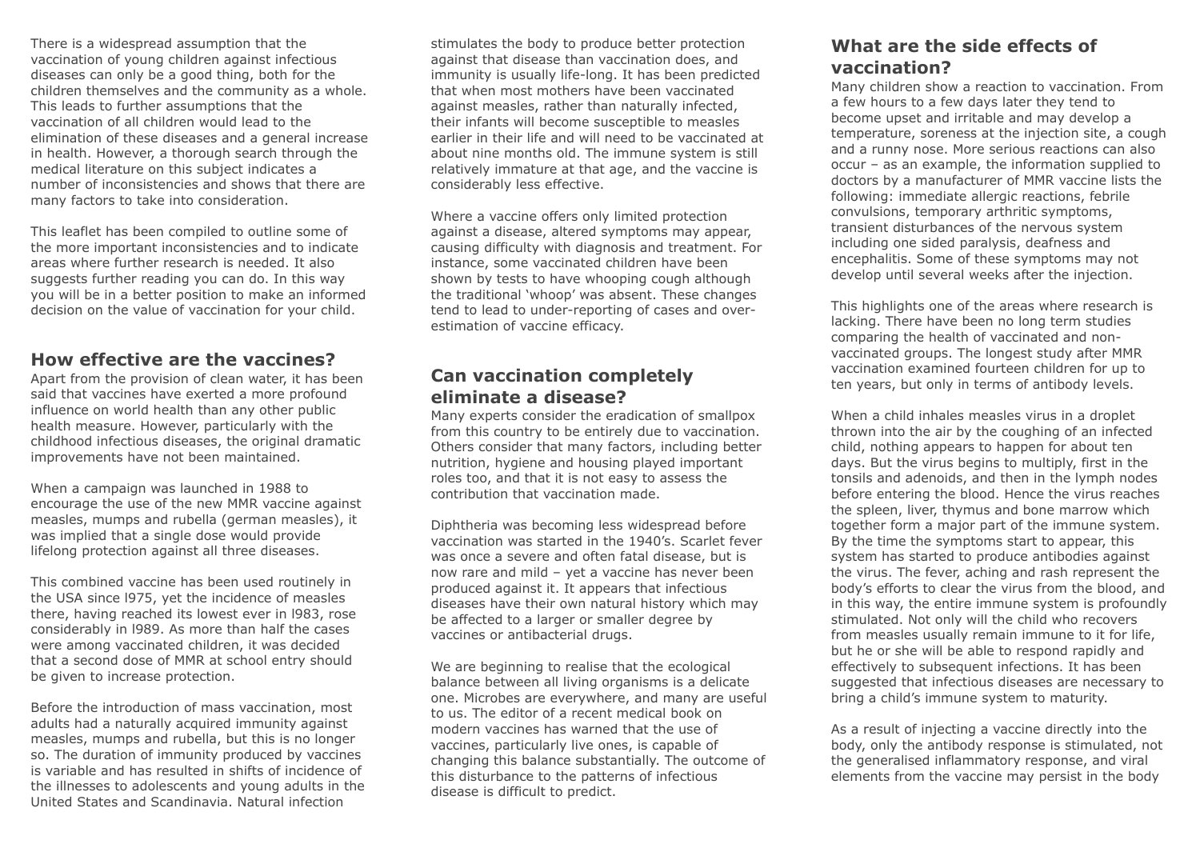There is a widespread assumption that the vaccination of young children against infectious diseases can only be a good thing, both for the children themselves and the community as a whole. This leads to further assumptions that the vaccination of all children would lead to the elimination of these diseases and a general increase in health. However, a thorough search through the medical literature on this subject indicates a number of inconsistencies and shows that there are many factors to take into consideration.

This leaflet has been compiled to outline some of the more important inconsistencies and to indicate areas where further research is needed. It also suggests further reading you can do. In this way you will be in a better position to make an informed decision on the value of vaccination for your child.

### **How effective are the vaccines?**

Apart from the provision of clean water, it has been said that vaccines have exerted a more profound influence on world health than any other public health measure. However, particularly with the childhood infectious diseases, the original dramatic improvements have not been maintained.

When a campaign was launched in 1988 to encourage the use of the new MMR vaccine against measles, mumps and rubella (german measles), it was implied that a single dose would provide lifelong protection against all three diseases.

This combined vaccine has been used routinely in the USA since l975, yet the incidence of measles there, having reached its lowest ever in l983, rose considerably in l989. As more than half the cases were among vaccinated children, it was decided that a second dose of MMR at school entry should be given to increase protection.

Before the introduction of mass vaccination, most adults had a naturally acquired immunity against measles, mumps and rubella, but this is no longer so. The duration of immunity produced by vaccines is variable and has resulted in shifts of incidence of the illnesses to adolescents and young adults in the United States and Scandinavia. Natural infection

stimulates the body to produce better protection against that disease than vaccination does, and immunity is usually life-long. It has been predicted that when most mothers have been vaccinated against measles, rather than naturally infected, their infants will become susceptible to measles earlier in their life and will need to be vaccinated at about nine months old. The immune system is still relatively immature at that age, and the vaccine is considerably less effective.

Where a vaccine offers only limited protection against a disease, altered symptoms may appear, causing difficulty with diagnosis and treatment. For instance, some vaccinated children have been shown by tests to have whooping cough although the traditional 'whoop' was absent. These changes tend to lead to under-reporting of cases and overestimation of vaccine efficacy.

# **Can vaccination completely eliminate a disease?**

Many experts consider the eradication of smallpox from this country to be entirely due to vaccination. Others consider that many factors, including better nutrition, hygiene and housing played important roles too, and that it is not easy to assess the contribution that vaccination made.

Diphtheria was becoming less widespread before vaccination was started in the 1940's. Scarlet fever was once a severe and often fatal disease, but is now rare and mild – yet a vaccine has never been produced against it. It appears that infectious diseases have their own natural history which may be affected to a larger or smaller degree by vaccines or antibacterial drugs.

We are beginning to realise that the ecological balance between all living organisms is a delicate one. Microbes are everywhere, and many are useful to us. The editor of a recent medical book on modern vaccines has warned that the use of vaccines, particularly live ones, is capable of changing this balance substantially. The outcome of this disturbance to the patterns of infectious disease is difficult to predict.

# **What are the side effects of vaccination?**

Many children show a reaction to vaccination. From a few hours to a few days later they tend to become upset and irritable and may develop a temperature, soreness at the injection site, a cough and a runny nose. More serious reactions can also occur – as an example, the information supplied to doctors by a manufacturer of MMR vaccine lists the following: immediate allergic reactions, febrile convulsions, temporary arthritic symptoms, transient disturbances of the nervous system including one sided paralysis, deafness and encephalitis. Some of these symptoms may not develop until several weeks after the injection.

This highlights one of the areas where research is lacking. There have been no long term studies comparing the health of vaccinated and nonvaccinated groups. The longest study after MMR vaccination examined fourteen children for up to ten years, but only in terms of antibody levels.

When a child inhales measles virus in a droplet thrown into the air by the coughing of an infected child, nothing appears to happen for about ten days. But the virus begins to multiply, first in the tonsils and adenoids, and then in the lymph nodes before entering the blood. Hence the virus reaches the spleen, liver, thymus and bone marrow which together form a major part of the immune system. By the time the symptoms start to appear, this system has started to produce antibodies against the virus. The fever, aching and rash represent the body's efforts to clear the virus from the blood, and in this way, the entire immune system is profoundly stimulated. Not only will the child who recovers from measles usually remain immune to it for life, but he or she will be able to respond rapidly and effectively to subsequent infections. It has been suggested that infectious diseases are necessary to bring a child's immune system to maturity.

As a result of injecting a vaccine directly into the body, only the antibody response is stimulated, not the generalised inflammatory response, and viral elements from the vaccine may persist in the body